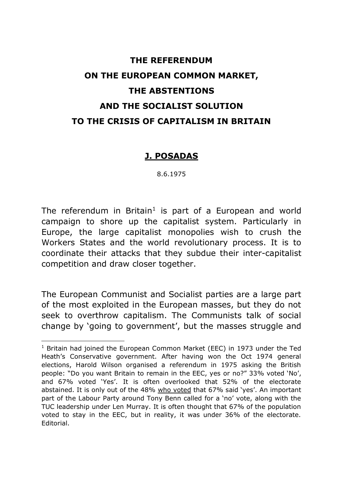# **THE REFERENDUM ON THE EUROPEAN COMMON MARKET, THE ABSTENTIONS AND THE SOCIALIST SOLUTION TO THE CRISIS OF CAPITALISM IN BRITAIN**

## **J. POSADAS**

8.6.1975

The referendum in Britain<sup>1</sup> is part of a European and world campaign to shore up the capitalist system. Particularly in Europe, the large capitalist monopolies wish to crush the Workers States and the world revolutionary process. It is to coordinate their attacks that they subdue their inter-capitalist competition and draw closer together.

The European Communist and Socialist parties are a large part of the most exploited in the European masses, but they do not seek to overthrow capitalism. The Communists talk of social change by 'going to government', but the masses struggle and

<sup>&</sup>lt;sup>1</sup> Britain had joined the European Common Market (EEC) in 1973 under the Ted Heath's Conservative government. After having won the Oct 1974 general elections, Harold Wilson organised a referendum in 1975 asking the British people: "Do you want Britain to remain in the EEC, yes or no?" 33% voted 'No', and 67% voted 'Yes'. It is often overlooked that 52% of the electorate abstained. It is only out of the 48% who voted that 67% said 'yes'. An important part of the Labour Party around Tony Benn called for a 'no' vote, along with the TUC leadership under Len Murray. It is often thought that 67% of the population voted to stay in the EEC, but in reality, it was under 36% of the electorate. Editorial.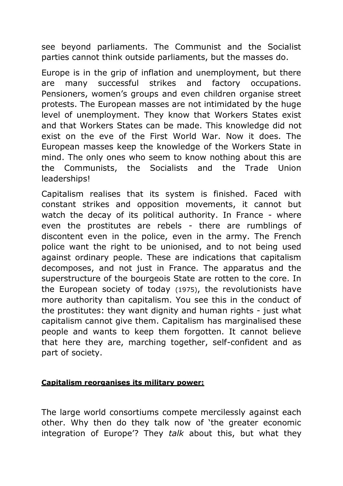see beyond parliaments. The Communist and the Socialist parties cannot think outside parliaments, but the masses do.

Europe is in the grip of inflation and unemployment, but there are many successful strikes and factory occupations. Pensioners, women's groups and even children organise street protests. The European masses are not intimidated by the huge level of unemployment. They know that Workers States exist and that Workers States can be made. This knowledge did not exist on the eve of the First World War. Now it does. The European masses keep the knowledge of the Workers State in mind. The only ones who seem to know nothing about this are the Communists, the Socialists and the Trade Union leaderships!

Capitalism realises that its system is finished. Faced with constant strikes and opposition movements, it cannot but watch the decay of its political authority. In France - where even the prostitutes are rebels - there are rumblings of discontent even in the police, even in the army. The French police want the right to be unionised, and to not being used against ordinary people. These are indications that capitalism decomposes, and not just in France. The apparatus and the superstructure of the bourgeois State are rotten to the core. In the European society of today (1975), the revolutionists have more authority than capitalism. You see this in the conduct of the prostitutes: they want dignity and human rights - just what capitalism cannot give them. Capitalism has marginalised these people and wants to keep them forgotten. It cannot believe that here they are, marching together, self-confident and as part of society.

## **Capitalism reorganises its military power:**

The large world consortiums compete mercilessly against each other. Why then do they talk now of 'the greater economic integration of Europe'? They *talk* about this, but what they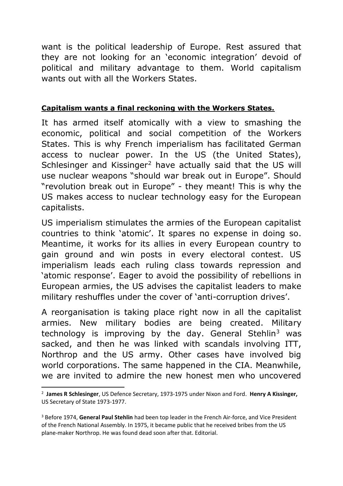want is the political leadership of Europe. Rest assured that they are not looking for an 'economic integration' devoid of political and military advantage to them. World capitalism wants out with all the Workers States.

#### **Capitalism wants a final reckoning with the Workers States.**

It has armed itself atomically with a view to smashing the economic, political and social competition of the Workers States. This is why French imperialism has facilitated German access to nuclear power. In the US (the United States), Schlesinger and Kissinger<sup>2</sup> have actually said that the US will use nuclear weapons "should war break out in Europe". Should "revolution break out in Europe" - they meant! This is why the US makes access to nuclear technology easy for the European capitalists.

US imperialism stimulates the armies of the European capitalist countries to think 'atomic'. It spares no expense in doing so. Meantime, it works for its allies in every European country to gain ground and win posts in every electoral contest. US imperialism leads each ruling class towards repression and 'atomic response'. Eager to avoid the possibility of rebellions in European armies, the US advises the capitalist leaders to make military reshuffles under the cover of 'anti-corruption drives'.

A reorganisation is taking place right now in all the capitalist armies. New military bodies are being created. Military technology is improving by the day. General Stehlin<sup>3</sup> was sacked, and then he was linked with scandals involving ITT, Northrop and the US army. Other cases have involved big world corporations. The same happened in the CIA. Meanwhile, we are invited to admire the new honest men who uncovered

<sup>2</sup> **James R Schlesinger**, US Defence Secretary, 1973-1975 under Nixon and Ford. **Henry A Kissinger,** US Secretary of State 1973-1977.

<sup>3</sup> Before 1974, **General Paul Stehlin** had been top leader in the French Air-force, and Vice President of the French National Assembly. In 1975, it became public that he received bribes from the US plane-maker Northrop. He was found dead soon after that. Editorial.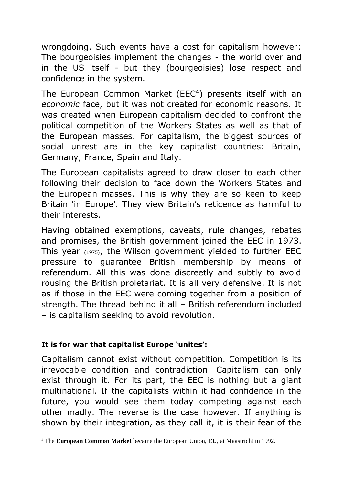wrongdoing. Such events have a cost for capitalism however: The bourgeoisies implement the changes - the world over and in the US itself - but they (bourgeoisies) lose respect and confidence in the system.

The European Common Market (EEC<sup>4</sup>) presents itself with an *economic* face, but it was not created for economic reasons. It was created when European capitalism decided to confront the political competition of the Workers States as well as that of the European masses. For capitalism, the biggest sources of social unrest are in the key capitalist countries: Britain, Germany, France, Spain and Italy.

The European capitalists agreed to draw closer to each other following their decision to face down the Workers States and the European masses. This is why they are so keen to keep Britain 'in Europe'. They view Britain's reticence as harmful to their interests.

Having obtained exemptions, caveats, rule changes, rebates and promises, the British government joined the EEC in 1973. This year (1975), the Wilson government yielded to further EEC pressure to guarantee British membership by means of referendum. All this was done discreetly and subtly to avoid rousing the British proletariat. It is all very defensive. It is not as if those in the EEC were coming together from a position of strength. The thread behind it all – British referendum included – is capitalism seeking to avoid revolution.

# **It is for war that capitalist Europe 'unites':**

.

Capitalism cannot exist without competition. Competition is its irrevocable condition and contradiction. Capitalism can only exist through it. For its part, the EEC is nothing but a giant multinational. If the capitalists within it had confidence in the future, you would see them today competing against each other madly. The reverse is the case however. If anything is shown by their integration, as they call it, it is their fear of the

<sup>4</sup> The **European Common Market** became the European Union, **EU**, at Maastricht in 1992.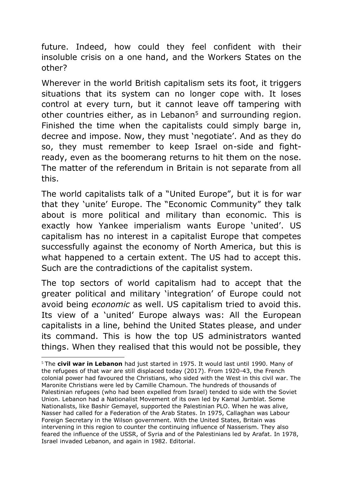future. Indeed, how could they feel confident with their insoluble crisis on a one hand, and the Workers States on the other?

Wherever in the world British capitalism sets its foot, it triggers situations that its system can no longer cope with. It loses control at every turn, but it cannot leave off tampering with other countries either, as in Lebanon<sup>5</sup> and surrounding region. Finished the time when the capitalists could simply barge in, decree and impose. Now, they must 'negotiate'. And as they do so, they must remember to keep Israel on-side and fightready, even as the boomerang returns to hit them on the nose. The matter of the referendum in Britain is not separate from all this.

The world capitalists talk of a "United Europe", but it is for war that they 'unite' Europe. The "Economic Community" they talk about is more political and military than economic. This is exactly how Yankee imperialism wants Europe 'united'. US capitalism has no interest in a capitalist Europe that competes successfully against the economy of North America, but this is what happened to a certain extent. The US had to accept this. Such are the contradictions of the capitalist system.

The top sectors of world capitalism had to accept that the greater political and military 'integration' of Europe could not avoid being *economic* as well. US capitalism tried to avoid this. Its view of a 'united' Europe always was: All the European capitalists in a line, behind the United States please, and under its command. This is how the top US administrators wanted things. When they realised that this would not be possible, they

<sup>5</sup> The **civil war in Lebanon** had just started in 1975. It would last until 1990. Many of the refugees of that war are still displaced today (2017). From 1920-43, the French colonial power had favoured the Christians, who sided with the West in this civil war. The Maronite Christians were led by Camille Chamoun. The hundreds of thousands of Palestinian refugees (who had been expelled from Israel) tended to side with the Soviet Union. Lebanon had a Nationalist Movement of its own led by Kamal Jumblat. Some Nationalists, like Bashir Gemayel, supported the Palestinian PLO. When he was alive, Nasser had called for a Federation of the Arab States. In 1975, Callaghan was Labour Foreign Secretary in the Wilson government. With the United States, Britain was intervening in this region to counter the continuing influence of Nasserism. They also feared the influence of the USSR, of Syria and of the Palestinians led by Arafat. In 1978, Israel invaded Lebanon, and again in 1982. Editorial.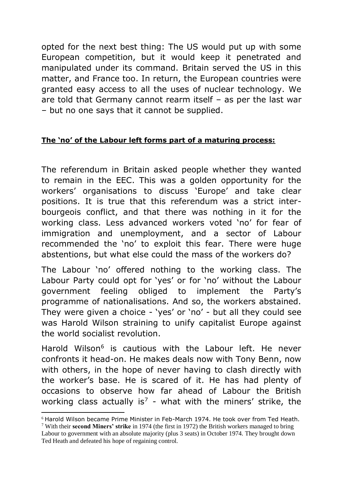opted for the next best thing: The US would put up with some European competition, but it would keep it penetrated and manipulated under its command. Britain served the US in this matter, and France too. In return, the European countries were granted easy access to all the uses of nuclear technology. We are told that Germany cannot rearm itself – as per the last war – but no one says that it cannot be supplied.

# **The 'no' of the Labour left forms part of a maturing process:**

The referendum in Britain asked people whether they wanted to remain in the EEC. This was a golden opportunity for the workers' organisations to discuss 'Europe' and take clear positions. It is true that this referendum was a strict interbourgeois conflict, and that there was nothing in it for the working class. Less advanced workers voted 'no' for fear of immigration and unemployment, and a sector of Labour recommended the 'no' to exploit this fear. There were huge abstentions, but what else could the mass of the workers do?

The Labour 'no' offered nothing to the working class. The Labour Party could opt for 'yes' or for 'no' without the Labour government feeling obliged to implement the Party's programme of nationalisations. And so, the workers abstained. They were given a choice - 'yes' or 'no' - but all they could see was Harold Wilson straining to unify capitalist Europe against the world socialist revolution.

Harold Wilson<sup>6</sup> is cautious with the Labour left. He never confronts it head-on. He makes deals now with Tony Benn, now with others, in the hope of never having to clash directly with the worker's base. He is scared of it. He has had plenty of occasions to observe how far ahead of Labour the British working class actually is<sup>7</sup> - what with the miners' strike, the

<sup>6</sup> Harold Wilson became Prime Minister in Feb-March 1974. He took over from Ted Heath.

<sup>7</sup> With their **second Miners' strike** in 1974 (the first in 1972) the British workers managed to bring Labour to government with an absolute majority (plus 3 seats) in October 1974. They brought down Ted Heath and defeated his hope of regaining control.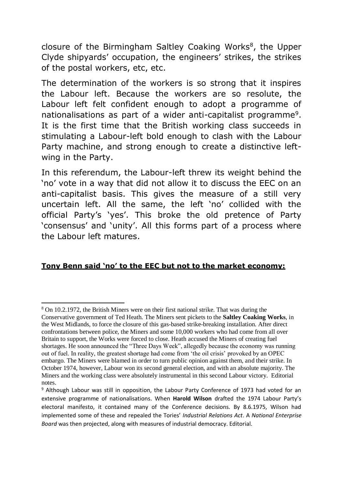closure of the Birmingham Saltley Coaking Works<sup>8</sup>, the Upper Clyde shipyards' occupation, the engineers' strikes, the strikes of the postal workers, etc, etc.

The determination of the workers is so strong that it inspires the Labour left. Because the workers are so resolute, the Labour left felt confident enough to adopt a programme of nationalisations as part of a wider anti-capitalist programme<sup>9</sup>. It is the first time that the British working class succeeds in stimulating a Labour-left bold enough to clash with the Labour Party machine, and strong enough to create a distinctive leftwing in the Party.

In this referendum, the Labour-left threw its weight behind the 'no' vote in a way that did not allow it to discuss the EEC on an anti-capitalist basis. This gives the measure of a still very uncertain left. All the same, the left 'no' collided with the official Party's 'yes'. This broke the old pretence of Party 'consensus' and 'unity'. All this forms part of a process where the Labour left matures.

## **Tony Benn said 'no' to the EEC but not to the market economy:**

<sup>8</sup> On 10.2.1972, the British Miners were on their first national strike. That was during the Conservative government of Ted Heath. The Miners sent pickets to the **Saltley Coaking Works**, in the West Midlands, to force the closure of this gas-based strike-breaking installation. After direct confrontations between police, the Miners and some 10,000 workers who had come from all over Britain to support, the Works were forced to close. Heath accused the Miners of creating fuel shortages. He soon announced the "Three Days Week", allegedly because the economy was running out of fuel. In reality, the greatest shortage had come from 'the oil crisis' provoked by an OPEC embargo. The Miners were blamed in order to turn public opinion against them, and their strike. In October 1974, however, Labour won its second general election, and with an absolute majority. The Miners and the working class were absolutely instrumental in this second Labour victory. Editorial notes.

<sup>&</sup>lt;sup>9</sup> Although Labour was still in opposition, the Labour Party Conference of 1973 had voted for an extensive programme of nationalisations. When **Harold Wilson** drafted the 1974 Labour Party's electoral manifesto, it contained many of the Conference decisions. By 8.6.1975, Wilson had implemented some of these and repealed the Tories' *Industrial Relations Act*. A *National Enterprise Board* was then projected, along with measures of industrial democracy. Editorial.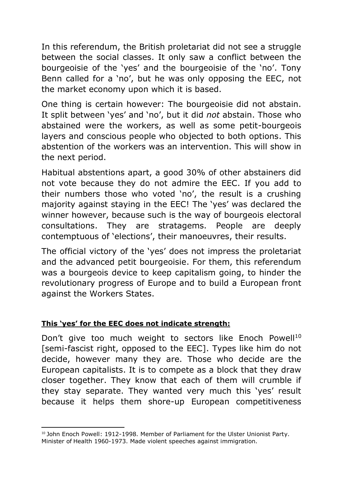In this referendum, the British proletariat did not see a struggle between the social classes. It only saw a conflict between the bourgeoisie of the 'yes' and the bourgeoisie of the 'no'. Tony Benn called for a 'no', but he was only opposing the EEC, not the market economy upon which it is based.

One thing is certain however: The bourgeoisie did not abstain. It split between 'yes' and 'no', but it did *not* abstain. Those who abstained were the workers, as well as some petit-bourgeois layers and conscious people who objected to both options. This abstention of the workers was an intervention. This will show in the next period.

Habitual abstentions apart, a good 30% of other abstainers did not vote because they do not admire the EEC. If you add to their numbers those who voted 'no', the result is a crushing majority against staying in the EEC! The 'yes' was declared the winner however, because such is the way of bourgeois electoral consultations. They are stratagems. People are deeply contemptuous of 'elections', their manoeuvres, their results.

The official victory of the 'yes' does not impress the proletariat and the advanced petit bourgeoisie. For them, this referendum was a bourgeois device to keep capitalism going, to hinder the revolutionary progress of Europe and to build a European front against the Workers States.

# **This 'yes' for the EEC does not indicate strength:**

.

Don't give too much weight to sectors like Enoch Powell<sup>10</sup> [semi-fascist right, opposed to the EEC]. Types like him do not decide, however many they are. Those who decide are the European capitalists. It is to compete as a block that they draw closer together. They know that each of them will crumble if they stay separate. They wanted very much this 'yes' result because it helps them shore-up European competitiveness

<sup>&</sup>lt;sup>10</sup> John Enoch Powell: 1912-1998. Member of Parliament for the Ulster Unionist Party. Minister of Health 1960-1973. Made violent speeches against immigration.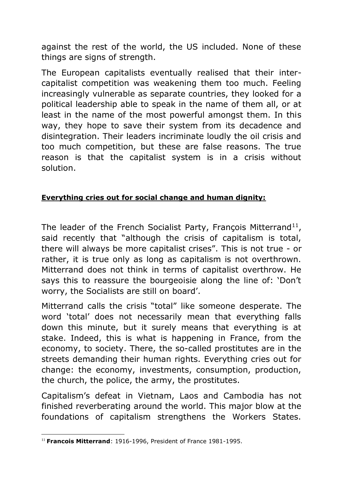against the rest of the world, the US included. None of these things are signs of strength.

The European capitalists eventually realised that their intercapitalist competition was weakening them too much. Feeling increasingly vulnerable as separate countries, they looked for a political leadership able to speak in the name of them all, or at least in the name of the most powerful amongst them. In this way, they hope to save their system from its decadence and disintegration. Their leaders incriminate loudly the oil crisis and too much competition, but these are false reasons. The true reason is that the capitalist system is in a crisis without solution.

# **Everything cries out for social change and human dignity:**

The leader of the French Socialist Party, François Mitterrand<sup>11</sup>, said recently that "although the crisis of capitalism is total, there will always be more capitalist crises". This is not true - or rather, it is true only as long as capitalism is not overthrown. Mitterrand does not think in terms of capitalist overthrow. He says this to reassure the bourgeoisie along the line of: 'Don't worry, the Socialists are still on board'.

Mitterrand calls the crisis "total" like someone desperate. The word 'total' does not necessarily mean that everything falls down this minute, but it surely means that everything is at stake. Indeed, this is what is happening in France, from the economy, to society. There, the so-called prostitutes are in the streets demanding their human rights. Everything cries out for change: the economy, investments, consumption, production, the church, the police, the army, the prostitutes.

Capitalism's defeat in Vietnam, Laos and Cambodia has not finished reverberating around the world. This major blow at the foundations of capitalism strengthens the Workers States.

<sup>.</sup> <sup>11</sup> **Francois Mitterrand**: 1916-1996, President of France 1981-1995.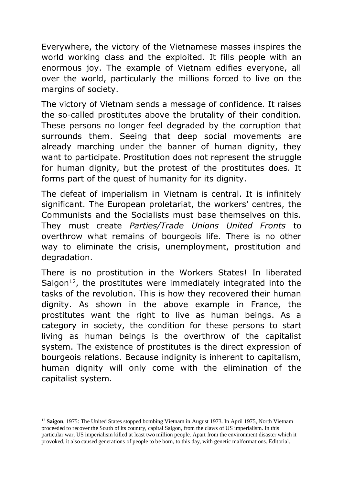Everywhere, the victory of the Vietnamese masses inspires the world working class and the exploited. It fills people with an enormous joy. The example of Vietnam edifies everyone, all over the world, particularly the millions forced to live on the margins of society.

The victory of Vietnam sends a message of confidence. It raises the so-called prostitutes above the brutality of their condition. These persons no longer feel degraded by the corruption that surrounds them. Seeing that deep social movements are already marching under the banner of human dignity, they want to participate. Prostitution does not represent the struggle for human dignity, but the protest of the prostitutes does. It forms part of the quest of humanity for its dignity.

The defeat of imperialism in Vietnam is central. It is infinitely significant. The European proletariat, the workers' centres, the Communists and the Socialists must base themselves on this. They must create *Parties/Trade Unions United Fronts* to overthrow what remains of bourgeois life. There is no other way to eliminate the crisis, unemployment, prostitution and degradation.

There is no prostitution in the Workers States! In liberated Saigon<sup>12</sup>, the prostitutes were immediately integrated into the tasks of the revolution. This is how they recovered their human dignity. As shown in the above example in France, the prostitutes want the right to live as human beings. As a category in society, the condition for these persons to start living as human beings is the overthrow of the capitalist system. The existence of prostitutes is the direct expression of bourgeois relations. Because indignity is inherent to capitalism, human dignity will only come with the elimination of the capitalist system.

<sup>12</sup> **Saigon**, 1975: The United States stopped bombing Vietnam in August 1973. In April 1975, North Vietnam proceeded to recover the South of its country, capital Saigon, from the claws of US imperialism. In this particular war, US imperialism killed at least two million people. Apart from the environment disaster which it provoked, it also caused generations of people to be born, to this day, with genetic malformations. Editorial.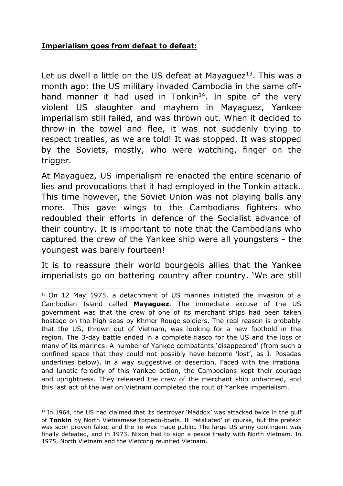#### **Imperialism goes from defeat to defeat:**

.

Let us dwell a little on the US defeat at Mayaguez<sup>13</sup>. This was a month ago: the US military invaded Cambodia in the same offhand manner it had used in Tonkin<sup>14</sup>. In spite of the very violent US slaughter and mayhem in Mayaguez, Yankee imperialism still failed, and was thrown out. When it decided to throw-in the towel and flee, it was not suddenly trying to respect treaties, as we are told! It was stopped. It was stopped by the Soviets, mostly, who were watching, finger on the trigger.

At Mayaguez, US imperialism re-enacted the entire scenario of lies and provocations that it had employed in the Tonkin attack. This time however, the Soviet Union was not playing balls any more. This gave wings to the Cambodians fighters who redoubled their efforts in defence of the Socialist advance of their country. It is important to note that the Cambodians who captured the crew of the Yankee ship were all youngsters - the youngest was barely fourteen!

It is to reassure their world bourgeois allies that the Yankee imperialists go on battering country after country. 'We are still

<sup>13</sup> On 12 May 1975, a detachment of US marines initiated the invasion of a Cambodian Island called **Mayaguez**. The immediate excuse of the US government was that the crew of one of its merchant ships had been taken hostage on the high seas by Khmer Rouge soldiers. The real reason is probably that the US, thrown out of Vietnam, was looking for a new foothold in the region. The 3-day battle ended in a complete fiasco for the US and the loss of many of its marines. A number of Yankee combatants 'disappeared' (from such a confined space that they could not possibly have become 'lost', as J. Posadas underlines below), in a way suggestive of desertion. Faced with the irrational and lunatic ferocity of this Yankee action, the Cambodians kept their courage and uprightness. They released the crew of the merchant ship unharmed, and this last act of the war on Vietnam completed the rout of Yankee imperialism.

<sup>&</sup>lt;sup>14</sup> In 1964, the US had claimed that its destroyer 'Maddox' was attacked twice in the gulf of **Tonkin** by North Vietnamese torpedo-boats. It 'retaliated' of course, but the pretext was soon proven false, and the lie was made public. The large US army contingent was finally defeated, and in 1973, Nixon had to sign a peace treaty with North Vietnam. In 1975, North Vietnam and the Vietcong reunited Vietnam.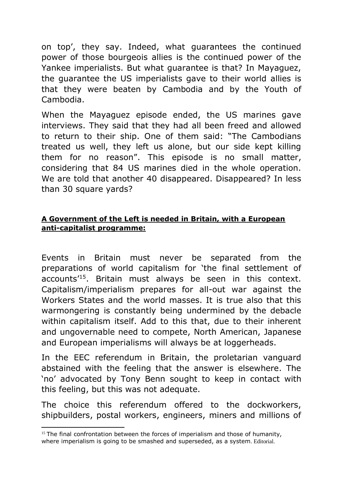on top', they say. Indeed, what guarantees the continued power of those bourgeois allies is the continued power of the Yankee imperialists. But what guarantee is that? In Mayaguez, the guarantee the US imperialists gave to their world allies is that they were beaten by Cambodia and by the Youth of Cambodia.

When the Mayaguez episode ended, the US marines gave interviews. They said that they had all been freed and allowed to return to their ship. One of them said: "The Cambodians treated us well, they left us alone, but our side kept killing them for no reason". This episode is no small matter, considering that 84 US marines died in the whole operation. We are told that another 40 disappeared. Disappeared? In less than 30 square yards?

# **A Government of the Left is needed in Britain, with a European anti-capitalist programme:**

Events in Britain must never be separated from the preparations of world capitalism for 'the final settlement of accounts'<sup>15</sup>. Britain must always be seen in this context. Capitalism/imperialism prepares for all-out war against the Workers States and the world masses. It is true also that this warmongering is constantly being undermined by the debacle within capitalism itself. Add to this that, due to their inherent and ungovernable need to compete, North American, Japanese and European imperialisms will always be at loggerheads.

In the EEC referendum in Britain, the proletarian vanguard abstained with the feeling that the answer is elsewhere. The 'no' advocated by Tony Benn sought to keep in contact with this feeling, but this was not adequate.

The choice this referendum offered to the dockworkers, shipbuilders, postal workers, engineers, miners and millions of

 $15$  The final confrontation between the forces of imperialism and those of humanity, where imperialism is going to be smashed and superseded, as a system. Editorial.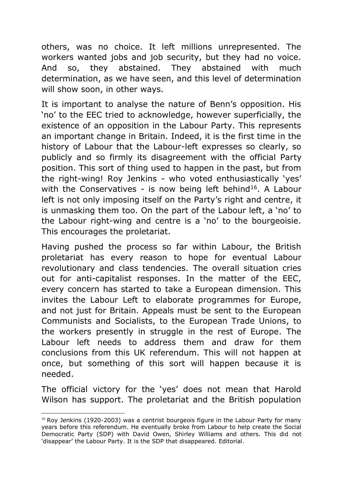others, was no choice. It left millions unrepresented. The workers wanted jobs and job security, but they had no voice. And so, they abstained. They abstained with much determination, as we have seen, and this level of determination will show soon, in other ways.

It is important to analyse the nature of Benn's opposition. His 'no' to the EEC tried to acknowledge, however superficially, the existence of an opposition in the Labour Party. This represents an important change in Britain. Indeed, it is the first time in the history of Labour that the Labour-left expresses so clearly, so publicly and so firmly its disagreement with the official Party position. This sort of thing used to happen in the past, but from the right-wing! Roy Jenkins - who voted enthusiastically 'yes' with the Conservatives - is now being left behind<sup>16</sup>. A Labour left is not only imposing itself on the Party's right and centre, it is unmasking them too. On the part of the Labour left, a 'no' to the Labour right-wing and centre is a 'no' to the bourgeoisie. This encourages the proletariat.

Having pushed the process so far within Labour, the British proletariat has every reason to hope for eventual Labour revolutionary and class tendencies. The overall situation cries out for anti-capitalist responses. In the matter of the EEC, every concern has started to take a European dimension. This invites the Labour Left to elaborate programmes for Europe, and not just for Britain. Appeals must be sent to the European Communists and Socialists, to the European Trade Unions, to the workers presently in struggle in the rest of Europe. The Labour left needs to address them and draw for them conclusions from this UK referendum. This will not happen at once, but something of this sort will happen because it is needed.

The official victory for the 'yes' does not mean that Harold Wilson has support. The proletariat and the British population

<sup>&</sup>lt;sup>16</sup> Roy Jenkins (1920-2003) was a centrist bourgeois figure in the Labour Party for many years before this referendum. He eventually broke from Labour to help create the Social Democratic Party (SDP) with David Owen, Shirley Williams and others. This did not 'disappear' the Labour Party. It is the SDP that disappeared. Editorial.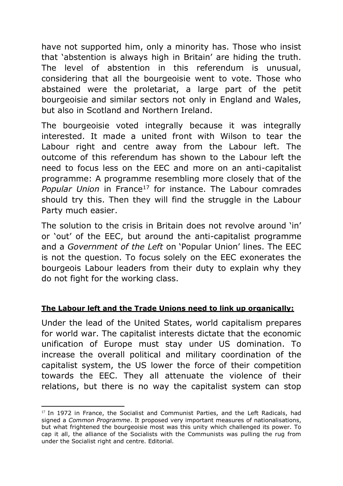have not supported him, only a minority has. Those who insist that 'abstention is always high in Britain' are hiding the truth. The level of abstention in this referendum is unusual, considering that all the bourgeoisie went to vote. Those who abstained were the proletariat, a large part of the petit bourgeoisie and similar sectors not only in England and Wales, but also in Scotland and Northern Ireland.

The bourgeoisie voted integrally because it was integrally interested. It made a united front with Wilson to tear the Labour right and centre away from the Labour left. The outcome of this referendum has shown to the Labour left the need to focus less on the EEC and more on an anti-capitalist programme: A programme resembling more closely that of the *Popular Union* in France<sup>17</sup> for instance. The Labour comrades should try this. Then they will find the struggle in the Labour Party much easier.

The solution to the crisis in Britain does not revolve around 'in' or 'out' of the EEC, but around the anti-capitalist programme and a *Government of the Left* on 'Popular Union' lines. The EEC is not the question. To focus solely on the EEC exonerates the bourgeois Labour leaders from their duty to explain why they do not fight for the working class.

# **The Labour left and the Trade Unions need to link up organically:**

Under the lead of the United States, world capitalism prepares for world war. The capitalist interests dictate that the economic unification of Europe must stay under US domination. To increase the overall political and military coordination of the capitalist system, the US lower the force of their competition towards the EEC. They all attenuate the violence of their relations, but there is no way the capitalist system can stop

<sup>.</sup> <sup>17</sup> In 1972 in France, the Socialist and Communist Parties, and the Left Radicals, had signed a *Common Programme*. It proposed very important measures of nationalisations, but what frightened the bourgeoisie most was this unity which challenged its power. To cap it all, the alliance of the Socialists with the Communists was pulling the rug from under the Socialist right and centre. Editorial.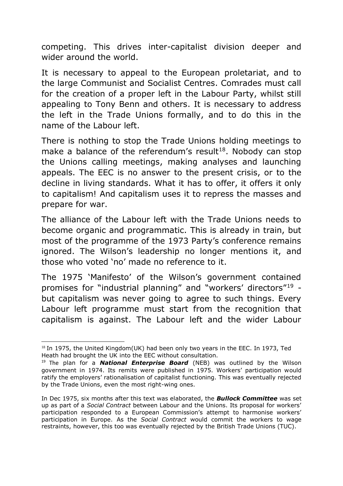competing. This drives inter-capitalist division deeper and wider around the world.

It is necessary to appeal to the European proletariat, and to the large Communist and Socialist Centres. Comrades must call for the creation of a proper left in the Labour Party, whilst still appealing to Tony Benn and others. It is necessary to address the left in the Trade Unions formally, and to do this in the name of the Labour left.

There is nothing to stop the Trade Unions holding meetings to make a balance of the referendum's result<sup>18</sup>. Nobody can stop the Unions calling meetings, making analyses and launching appeals. The EEC is no answer to the present crisis, or to the decline in living standards. What it has to offer, it offers it only to capitalism! And capitalism uses it to repress the masses and prepare for war.

The alliance of the Labour left with the Trade Unions needs to become organic and programmatic. This is already in train, but most of the programme of the 1973 Party's conference remains ignored. The Wilson's leadership no longer mentions it, and those who voted 'no' made no reference to it.

The 1975 'Manifesto' of the Wilson's government contained promises for "industrial planning" and "workers' directors"<sup>19</sup> but capitalism was never going to agree to such things. Every Labour left programme must start from the recognition that capitalism is against. The Labour left and the wider Labour

<sup>.</sup>  $18$  In 1975, the United Kingdom(UK) had been only two years in the EEC. In 1973, Ted Heath had brought the UK into the EEC without consultation.

<sup>19</sup> The plan for a *National Enterprise Board* (NEB) was outlined by the Wilson government in 1974. Its remits were published in 1975. Workers' participation would ratify the employers' rationalisation of capitalist functioning. This was eventually rejected by the Trade Unions, even the most right-wing ones.

In Dec 1975, six months after this text was elaborated, the *Bullock Committee* was set up as part of a *Social Contract* between Labour and the Unions. Its proposal for workers' participation responded to a European Commission's attempt to harmonise workers' participation in Europe. As the *Social Contract* would commit the workers to wage restraints, however, this too was eventually rejected by the British Trade Unions (TUC).